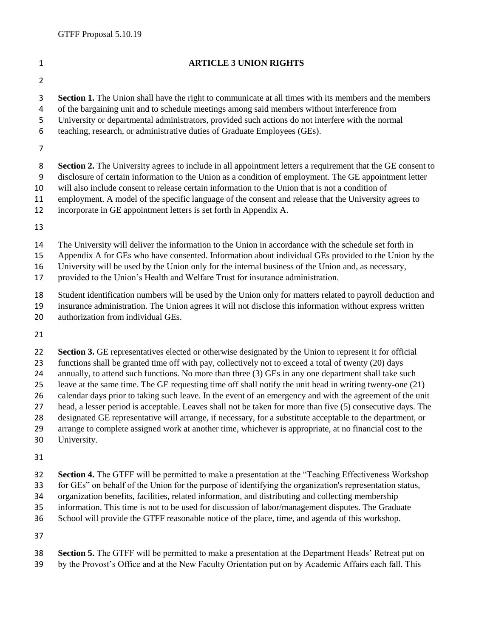| $\mathbf{1}$                                 | <b>ARTICLE 3 UNION RIGHTS</b>                                                                                                                                                                                                                                                                                                                                                                                                                                                                                                                                                                                                                                                                                                                                                                                                                                                                    |
|----------------------------------------------|--------------------------------------------------------------------------------------------------------------------------------------------------------------------------------------------------------------------------------------------------------------------------------------------------------------------------------------------------------------------------------------------------------------------------------------------------------------------------------------------------------------------------------------------------------------------------------------------------------------------------------------------------------------------------------------------------------------------------------------------------------------------------------------------------------------------------------------------------------------------------------------------------|
| $\overline{2}$                               |                                                                                                                                                                                                                                                                                                                                                                                                                                                                                                                                                                                                                                                                                                                                                                                                                                                                                                  |
| 3<br>4<br>5<br>6<br>$\overline{7}$           | Section 1. The Union shall have the right to communicate at all times with its members and the members<br>of the bargaining unit and to schedule meetings among said members without interference from<br>University or departmental administrators, provided such actions do not interfere with the normal<br>teaching, research, or administrative duties of Graduate Employees (GEs).                                                                                                                                                                                                                                                                                                                                                                                                                                                                                                         |
| 8<br>9<br>10<br>11<br>12                     | <b>Section 2.</b> The University agrees to include in all appointment letters a requirement that the GE consent to<br>disclosure of certain information to the Union as a condition of employment. The GE appointment letter<br>will also include consent to release certain information to the Union that is not a condition of<br>employment. A model of the specific language of the consent and release that the University agrees to<br>incorporate in GE appointment letters is set forth in Appendix A.                                                                                                                                                                                                                                                                                                                                                                                   |
| 13                                           |                                                                                                                                                                                                                                                                                                                                                                                                                                                                                                                                                                                                                                                                                                                                                                                                                                                                                                  |
| 14<br>15<br>16<br>17                         | The University will deliver the information to the Union in accordance with the schedule set forth in<br>Appendix A for GEs who have consented. Information about individual GEs provided to the Union by the<br>University will be used by the Union only for the internal business of the Union and, as necessary,<br>provided to the Union's Health and Welfare Trust for insurance administration.                                                                                                                                                                                                                                                                                                                                                                                                                                                                                           |
| 18<br>19<br>20                               | Student identification numbers will be used by the Union only for matters related to payroll deduction and<br>insurance administration. The Union agrees it will not disclose this information without express written<br>authorization from individual GEs.                                                                                                                                                                                                                                                                                                                                                                                                                                                                                                                                                                                                                                     |
| 21                                           |                                                                                                                                                                                                                                                                                                                                                                                                                                                                                                                                                                                                                                                                                                                                                                                                                                                                                                  |
| 22<br>23<br>24<br>25<br>26<br>27<br>28<br>29 | <b>Section 3.</b> GE representatives elected or otherwise designated by the Union to represent it for official<br>functions shall be granted time off with pay, collectively not to exceed a total of twenty (20) days<br>annually, to attend such functions. No more than three (3) GEs in any one department shall take such<br>leave at the same time. The GE requesting time off shall notify the unit head in writing twenty-one (21)<br>calendar days prior to taking such leave. In the event of an emergency and with the agreement of the unit<br>head, a lesser period is acceptable. Leaves shall not be taken for more than five (5) consecutive days. The<br>designated GE representative will arrange, if necessary, for a substitute acceptable to the department, or<br>arrange to complete assigned work at another time, whichever is appropriate, at no financial cost to the |

University.

**Section 4.** The GTFF will be permitted to make a presentation at the "Teaching Effectiveness Workshop

for GEs" on behalf of the Union for the purpose of identifying the organization's representation status,

organization benefits, facilities, related information, and distributing and collecting membership

information. This time is not to be used for discussion of labor/management disputes. The Graduate

School will provide the GTFF reasonable notice of the place, time, and agenda of this workshop.

**Section 5.** The GTFF will be permitted to make a presentation at the Department Heads' Retreat put on

by the Provost's Office and at the New Faculty Orientation put on by Academic Affairs each fall. This